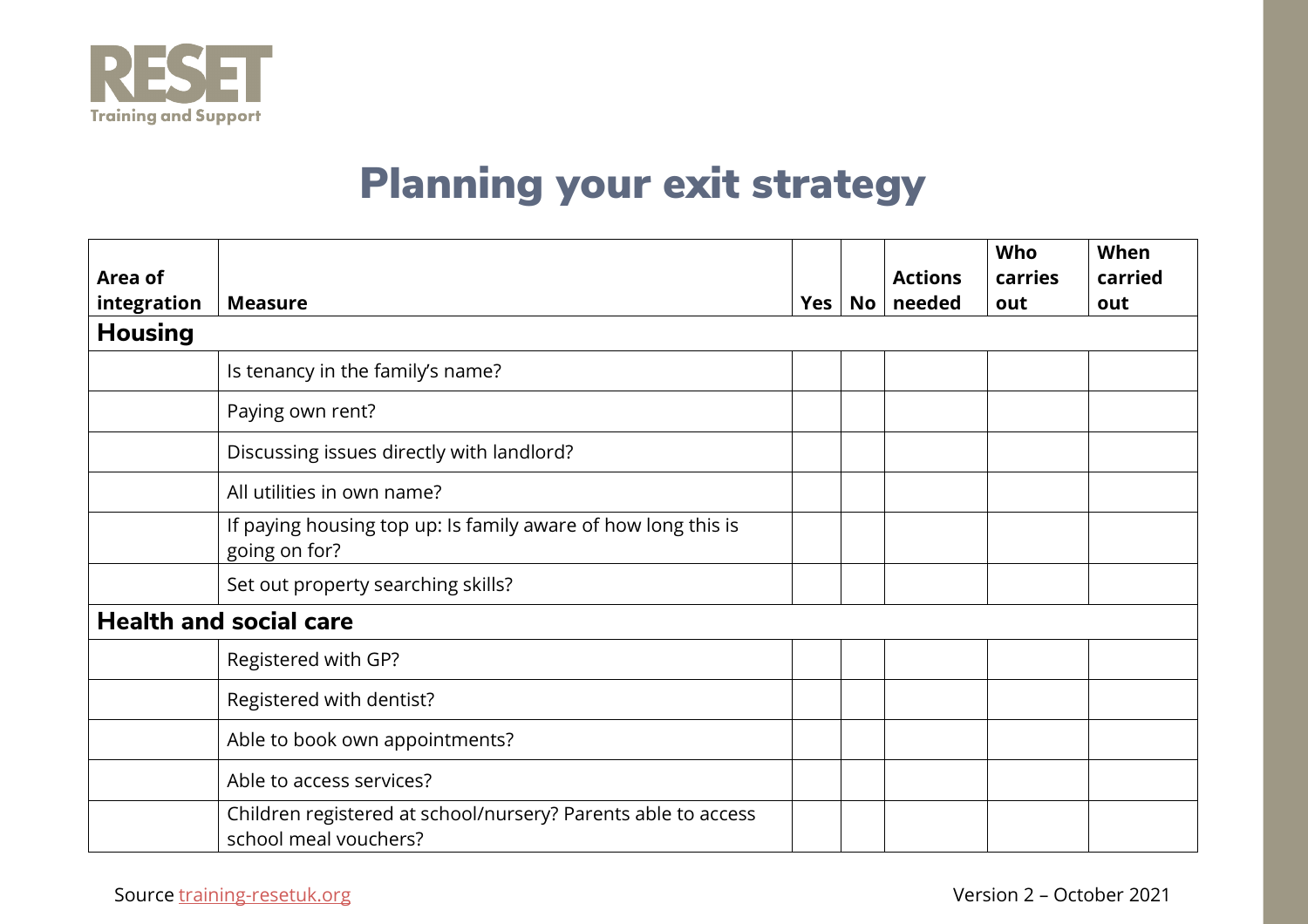

## Planning your exit strategy

|                |                                                                                        |     |    |                | Who     | When    |
|----------------|----------------------------------------------------------------------------------------|-----|----|----------------|---------|---------|
| Area of        |                                                                                        |     |    | <b>Actions</b> | carries | carried |
| integration    | <b>Measure</b>                                                                         | Yes | No | needed         | out     | out     |
| <b>Housing</b> |                                                                                        |     |    |                |         |         |
|                | Is tenancy in the family's name?                                                       |     |    |                |         |         |
|                | Paying own rent?                                                                       |     |    |                |         |         |
|                | Discussing issues directly with landlord?                                              |     |    |                |         |         |
|                | All utilities in own name?                                                             |     |    |                |         |         |
|                | If paying housing top up: Is family aware of how long this is<br>going on for?         |     |    |                |         |         |
|                | Set out property searching skills?                                                     |     |    |                |         |         |
|                | <b>Health and social care</b>                                                          |     |    |                |         |         |
|                | Registered with GP?                                                                    |     |    |                |         |         |
|                | Registered with dentist?                                                               |     |    |                |         |         |
|                | Able to book own appointments?                                                         |     |    |                |         |         |
|                | Able to access services?                                                               |     |    |                |         |         |
|                | Children registered at school/nursery? Parents able to access<br>school meal vouchers? |     |    |                |         |         |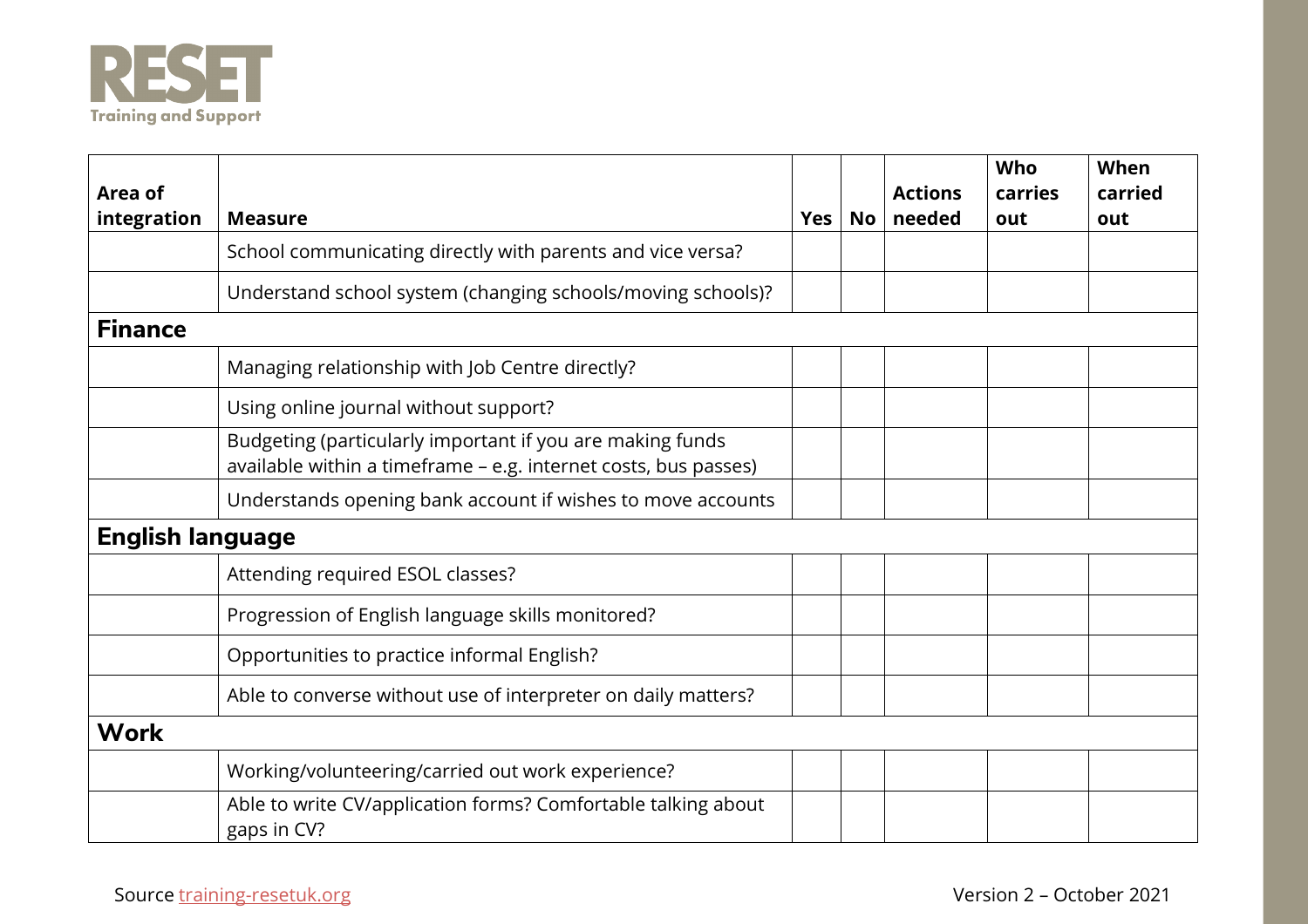

| Area of<br>integration  | <b>Measure</b>                                                                                                               | <b>Yes</b> | <b>No</b> | <b>Actions</b><br>needed | <b>Who</b><br>carries<br>out | When<br>carried<br>out |
|-------------------------|------------------------------------------------------------------------------------------------------------------------------|------------|-----------|--------------------------|------------------------------|------------------------|
|                         | School communicating directly with parents and vice versa?                                                                   |            |           |                          |                              |                        |
|                         | Understand school system (changing schools/moving schools)?                                                                  |            |           |                          |                              |                        |
| <b>Finance</b>          |                                                                                                                              |            |           |                          |                              |                        |
|                         | Managing relationship with Job Centre directly?                                                                              |            |           |                          |                              |                        |
|                         | Using online journal without support?                                                                                        |            |           |                          |                              |                        |
|                         | Budgeting (particularly important if you are making funds<br>available within a timeframe - e.g. internet costs, bus passes) |            |           |                          |                              |                        |
|                         | Understands opening bank account if wishes to move accounts                                                                  |            |           |                          |                              |                        |
| <b>English language</b> |                                                                                                                              |            |           |                          |                              |                        |
|                         | Attending required ESOL classes?                                                                                             |            |           |                          |                              |                        |
|                         | Progression of English language skills monitored?                                                                            |            |           |                          |                              |                        |
|                         | Opportunities to practice informal English?                                                                                  |            |           |                          |                              |                        |
|                         | Able to converse without use of interpreter on daily matters?                                                                |            |           |                          |                              |                        |
| <b>Work</b>             |                                                                                                                              |            |           |                          |                              |                        |
|                         | Working/volunteering/carried out work experience?                                                                            |            |           |                          |                              |                        |
|                         | Able to write CV/application forms? Comfortable talking about<br>gaps in CV?                                                 |            |           |                          |                              |                        |